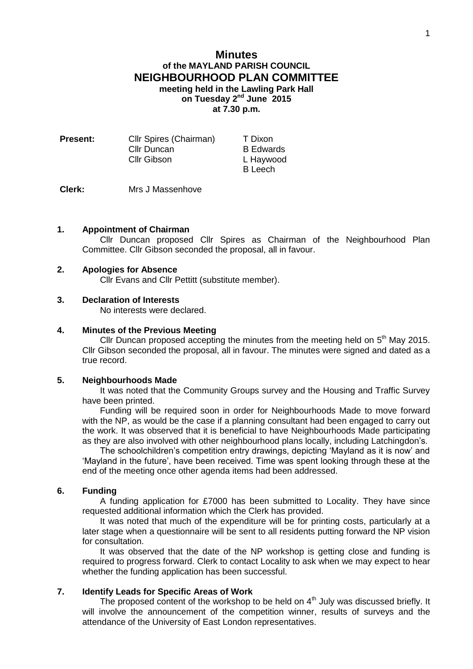# **Minutes of the MAYLAND PARISH COUNCIL NEIGHBOURHOOD PLAN COMMITTEE meeting held in the Lawling Park Hall** on Tuesday 2<sup>nd</sup> June 2015 **at 7.30 p.m.**

| <b>Present:</b> | Cllr Spires (Chairman) | T Dixon          |
|-----------------|------------------------|------------------|
|                 | Cllr Duncan            | <b>B</b> Edwards |
|                 | Cllr Gibson            | L Haywood        |
|                 |                        | B Leech          |

**Clerk:** Mrs J Massenhove

#### **1. Appointment of Chairman**

Cllr Duncan proposed Cllr Spires as Chairman of the Neighbourhood Plan Committee. Cllr Gibson seconded the proposal, all in favour.

#### **2. Apologies for Absence**

Cllr Evans and Cllr Pettitt (substitute member).

### **3. Declaration of Interests**

No interests were declared.

#### **4. Minutes of the Previous Meeting**

Cllr Duncan proposed accepting the minutes from the meeting held on  $5<sup>th</sup>$  May 2015. Cllr Gibson seconded the proposal, all in favour. The minutes were signed and dated as a true record.

## **5. Neighbourhoods Made**

It was noted that the Community Groups survey and the Housing and Traffic Survey have been printed.

Funding will be required soon in order for Neighbourhoods Made to move forward with the NP, as would be the case if a planning consultant had been engaged to carry out the work. It was observed that it is beneficial to have Neighbourhoods Made participating as they are also involved with other neighbourhood plans locally, including Latchingdon's.

The schoolchildren's competition entry drawings, depicting 'Mayland as it is now' and 'Mayland in the future', have been received. Time was spent looking through these at the end of the meeting once other agenda items had been addressed.

## **6. Funding**

A funding application for £7000 has been submitted to Locality. They have since requested additional information which the Clerk has provided.

It was noted that much of the expenditure will be for printing costs, particularly at a later stage when a questionnaire will be sent to all residents putting forward the NP vision for consultation.

It was observed that the date of the NP workshop is getting close and funding is required to progress forward. Clerk to contact Locality to ask when we may expect to hear whether the funding application has been successful.

#### **7. Identify Leads for Specific Areas of Work**

The proposed content of the workshop to be held on  $4<sup>th</sup>$  July was discussed briefly. It will involve the announcement of the competition winner, results of surveys and the attendance of the University of East London representatives.